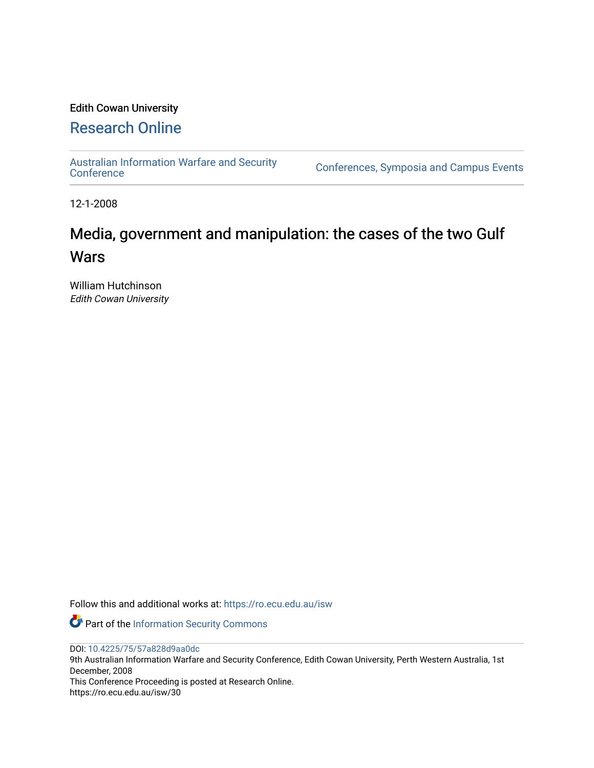# Edith Cowan University

# [Research Online](https://ro.ecu.edu.au/)

[Australian Information Warfare and Security](https://ro.ecu.edu.au/isw) 

[Conference](https://ro.ecu.edu.au/isw)s, Symposia and Campus Events

12-1-2008

# Media, government and manipulation: the cases of the two Gulf **Wars**

William Hutchinson Edith Cowan University

Follow this and additional works at: [https://ro.ecu.edu.au/isw](https://ro.ecu.edu.au/isw?utm_source=ro.ecu.edu.au%2Fisw%2F30&utm_medium=PDF&utm_campaign=PDFCoverPages) 

Part of the [Information Security Commons](http://network.bepress.com/hgg/discipline/1247?utm_source=ro.ecu.edu.au%2Fisw%2F30&utm_medium=PDF&utm_campaign=PDFCoverPages) 

DOI: [10.4225/75/57a828d9aa0dc](https://doi.org/10.4225/75/57a828d9aa0dc) 

9th Australian Information Warfare and Security Conference, Edith Cowan University, Perth Western Australia, 1st December, 2008

This Conference Proceeding is posted at Research Online. https://ro.ecu.edu.au/isw/30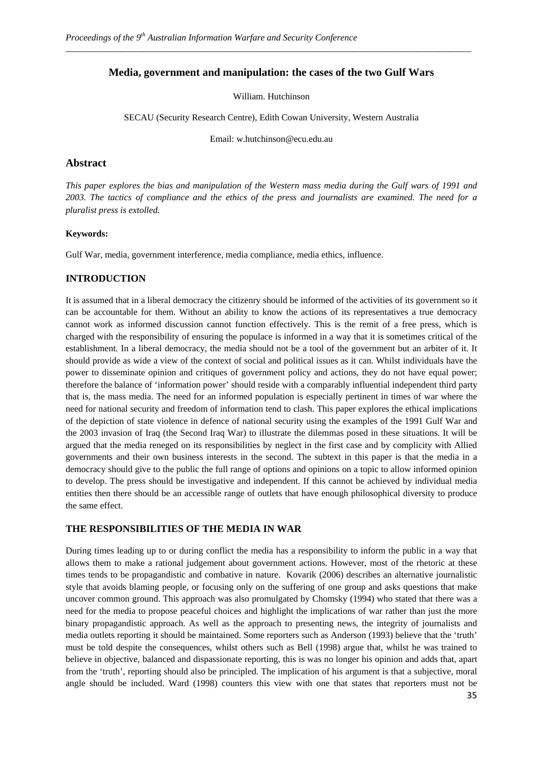# **Media, government and manipulation: the cases of the two Gulf Wars**

*\_\_\_\_\_\_\_\_\_\_\_\_\_\_\_\_\_\_\_\_\_\_\_\_\_\_\_\_\_\_\_\_\_\_\_\_\_\_\_\_\_\_\_\_\_\_\_\_\_\_\_\_\_\_\_\_\_\_\_\_\_\_\_\_\_\_\_\_\_\_\_\_\_\_\_\_\_\_\_\_\_\_\_\_\_\_\_\_\_*

William. Hutchinson

SECAU (Security Research Centre), Edith Cowan University, Western Australia

Email: w.hutchinson@ecu.edu.au

## **Abstract**

*This paper explores the bias and manipulation of the Western mass media during the Gulf wars of 1991 and 2003. The tactics of compliance and the ethics of the press and journalists are examined. The need for a pluralist press is extolled.* 

#### **Keywords:**

Gulf War, media, government interference, media compliance, media ethics, influence.

## **INTRODUCTION**

It is assumed that in a liberal democracy the citizenry should be informed of the activities of its government so it can be accountable for them. Without an ability to know the actions of its representatives a true democracy cannot work as informed discussion cannot function effectively. This is the remit of a free press, which is charged with the responsibility of ensuring the populace is informed in a way that it is sometimes critical of the establishment. In a liberal democracy, the media should not be a tool of the government but an arbiter of it. It should provide as wide a view of the context of social and political issues as it can. Whilst individuals have the power to disseminate opinion and critiques of government policy and actions, they do not have equal power; therefore the balance of 'information power' should reside with a comparably influential independent third party that is, the mass media. The need for an informed population is especially pertinent in times of war where the need for national security and freedom of information tend to clash. This paper explores the ethical implications of the depiction of state violence in defence of national security using the examples of the 1991 Gulf War and the 2003 invasion of Iraq (the Second Iraq War) to illustrate the dilemmas posed in these situations. It will be argued that the media reneged on its responsibilities by neglect in the first case and by complicity with Allied governments and their own business interests in the second. The subtext in this paper is that the media in a democracy should give to the public the full range of options and opinions on a topic to allow informed opinion to develop. The press should be investigative and independent. If this cannot be achieved by individual media entities then there should be an accessible range of outlets that have enough philosophical diversity to produce the same effect.

# **THE RESPONSIBILITIES OF THE MEDIA IN WAR**

During times leading up to or during conflict the media has a responsibility to inform the public in a way that allows them to make a rational judgement about government actions. However, most of the rhetoric at these times tends to be propagandistic and combative in nature. Kovarik (2006) describes an alternative journalistic style that avoids blaming people, or focusing only on the suffering of one group and asks questions that make uncover common ground. This approach was also promulgated by Chomsky (1994) who stated that there was a need for the media to propose peaceful choices and highlight the implications of war rather than just the more binary propagandistic approach. As well as the approach to presenting news, the integrity of journalists and media outlets reporting it should be maintained. Some reporters such as Anderson (1993) believe that the 'truth' must be told despite the consequences, whilst others such as Bell (1998) argue that, whilst he was trained to believe in objective, balanced and dispassionate reporting, this is was no longer his opinion and adds that, apart from the 'truth', reporting should also be principled. The implication of his argument is that a subjective, moral angle should be included. Ward (1998) counters this view with one that states that reporters must not be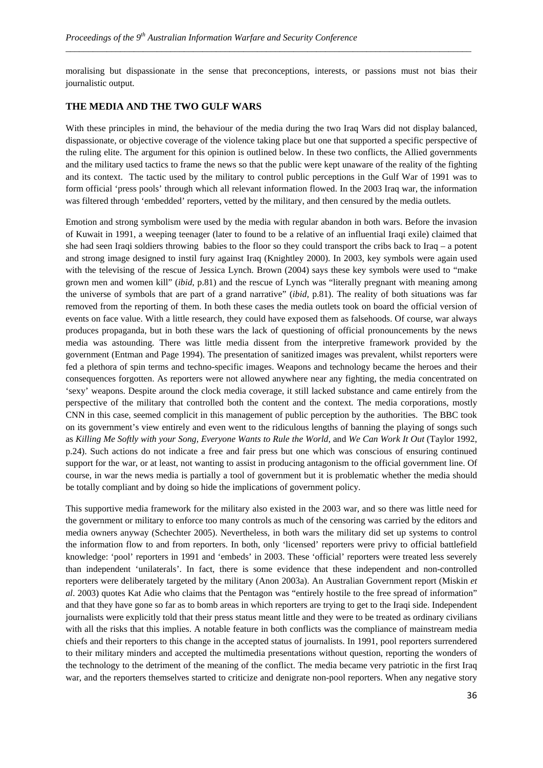moralising but dispassionate in the sense that preconceptions, interests, or passions must not bias their journalistic output.

*\_\_\_\_\_\_\_\_\_\_\_\_\_\_\_\_\_\_\_\_\_\_\_\_\_\_\_\_\_\_\_\_\_\_\_\_\_\_\_\_\_\_\_\_\_\_\_\_\_\_\_\_\_\_\_\_\_\_\_\_\_\_\_\_\_\_\_\_\_\_\_\_\_\_\_\_\_\_\_\_\_\_\_\_\_\_\_\_\_*

#### **THE MEDIA AND THE TWO GULF WARS**

With these principles in mind, the behaviour of the media during the two Iraq Wars did not display balanced, dispassionate, or objective coverage of the violence taking place but one that supported a specific perspective of the ruling elite. The argument for this opinion is outlined below. In these two conflicts, the Allied governments and the military used tactics to frame the news so that the public were kept unaware of the reality of the fighting and its context. The tactic used by the military to control public perceptions in the Gulf War of 1991 was to form official 'press pools' through which all relevant information flowed. In the 2003 Iraq war, the information was filtered through 'embedded' reporters, vetted by the military, and then censured by the media outlets.

Emotion and strong symbolism were used by the media with regular abandon in both wars. Before the invasion of Kuwait in 1991, a weeping teenager (later to found to be a relative of an influential Iraqi exile) claimed that she had seen Iraqi soldiers throwing babies to the floor so they could transport the cribs back to Iraq – a potent and strong image designed to instil fury against Iraq (Knightley 2000). In 2003, key symbols were again used with the televising of the rescue of Jessica Lynch. Brown (2004) says these key symbols were used to "make grown men and women kill" (*ibid*, p.81) and the rescue of Lynch was "literally pregnant with meaning among the universe of symbols that are part of a grand narrative" (*ibid,* p.81). The reality of both situations was far removed from the reporting of them. In both these cases the media outlets took on board the official version of events on face value. With a little research, they could have exposed them as falsehoods. Of course, war always produces propaganda, but in both these wars the lack of questioning of official pronouncements by the news media was astounding. There was little media dissent from the interpretive framework provided by the government (Entman and Page 1994). The presentation of sanitized images was prevalent, whilst reporters were fed a plethora of spin terms and techno-specific images. Weapons and technology became the heroes and their consequences forgotten. As reporters were not allowed anywhere near any fighting, the media concentrated on 'sexy' weapons. Despite around the clock media coverage, it still lacked substance and came entirely from the perspective of the military that controlled both the content and the context. The media corporations, mostly CNN in this case, seemed complicit in this management of public perception by the authorities. The BBC took on its government's view entirely and even went to the ridiculous lengths of banning the playing of songs such as *Killing Me Softly with your Song, Everyone Wants to Rule the World*, and *We Can Work It Out* (Taylor 1992, p.24). Such actions do not indicate a free and fair press but one which was conscious of ensuring continued support for the war, or at least, not wanting to assist in producing antagonism to the official government line. Of course, in war the news media is partially a tool of government but it is problematic whether the media should be totally compliant and by doing so hide the implications of government policy.

This supportive media framework for the military also existed in the 2003 war, and so there was little need for the government or military to enforce too many controls as much of the censoring was carried by the editors and media owners anyway (Schechter 2005). Nevertheless, in both wars the military did set up systems to control the information flow to and from reporters. In both, only 'licensed' reporters were privy to official battlefield knowledge: 'pool' reporters in 1991 and 'embeds' in 2003. These 'official' reporters were treated less severely than independent 'unilaterals'. In fact, there is some evidence that these independent and non-controlled reporters were deliberately targeted by the military (Anon 2003a). An Australian Government report (Miskin *et al*. 2003) quotes Kat Adie who claims that the Pentagon was "entirely hostile to the free spread of information" and that they have gone so far as to bomb areas in which reporters are trying to get to the Iraqi side. Independent journalists were explicitly told that their press status meant little and they were to be treated as ordinary civilians with all the risks that this implies. A notable feature in both conflicts was the compliance of mainstream media chiefs and their reporters to this change in the accepted status of journalists. In 1991, pool reporters surrendered to their military minders and accepted the multimedia presentations without question, reporting the wonders of the technology to the detriment of the meaning of the conflict. The media became very patriotic in the first Iraq war, and the reporters themselves started to criticize and denigrate non-pool reporters. When any negative story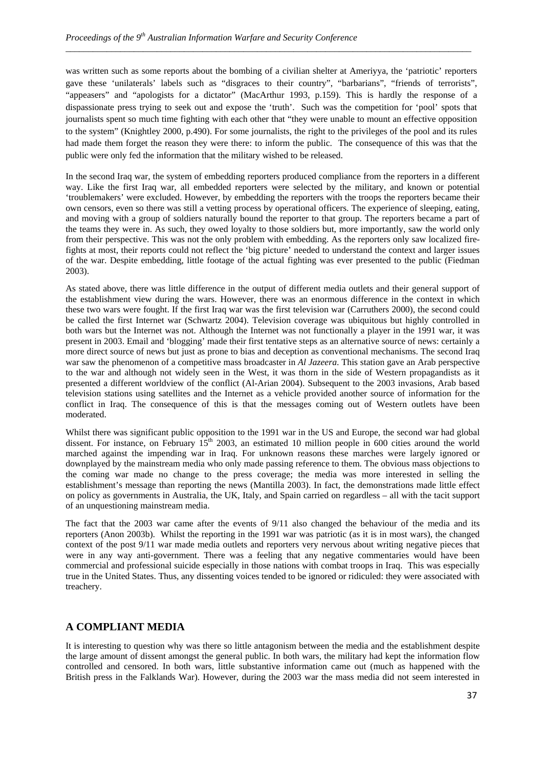was written such as some reports about the bombing of a civilian shelter at Ameriyya, the 'patriotic' reporters gave these 'unilaterals' labels such as "disgraces to their country", "barbarians", "friends of terrorists", "appeasers" and "apologists for a dictator" (MacArthur 1993, p.159). This is hardly the response of a dispassionate press trying to seek out and expose the 'truth'. Such was the competition for 'pool' spots that journalists spent so much time fighting with each other that "they were unable to mount an effective opposition to the system" (Knightley 2000, p.490). For some journalists, the right to the privileges of the pool and its rules had made them forget the reason they were there: to inform the public. The consequence of this was that the public were only fed the information that the military wished to be released.

*\_\_\_\_\_\_\_\_\_\_\_\_\_\_\_\_\_\_\_\_\_\_\_\_\_\_\_\_\_\_\_\_\_\_\_\_\_\_\_\_\_\_\_\_\_\_\_\_\_\_\_\_\_\_\_\_\_\_\_\_\_\_\_\_\_\_\_\_\_\_\_\_\_\_\_\_\_\_\_\_\_\_\_\_\_\_\_\_\_*

In the second Iraq war, the system of embedding reporters produced compliance from the reporters in a different way. Like the first Iraq war, all embedded reporters were selected by the military, and known or potential 'troublemakers' were excluded. However, by embedding the reporters with the troops the reporters became their own censors, even so there was still a vetting process by operational officers. The experience of sleeping, eating, and moving with a group of soldiers naturally bound the reporter to that group. The reporters became a part of the teams they were in. As such, they owed loyalty to those soldiers but, more importantly, saw the world only from their perspective. This was not the only problem with embedding. As the reporters only saw localized firefights at most, their reports could not reflect the 'big picture' needed to understand the context and larger issues of the war. Despite embedding, little footage of the actual fighting was ever presented to the public (Fiedman 2003).

As stated above, there was little difference in the output of different media outlets and their general support of the establishment view during the wars. However, there was an enormous difference in the context in which these two wars were fought. If the first Iraq war was the first television war (Carruthers 2000), the second could be called the first Internet war (Schwartz 2004). Television coverage was ubiquitous but highly controlled in both wars but the Internet was not. Although the Internet was not functionally a player in the 1991 war, it was present in 2003. Email and 'blogging' made their first tentative steps as an alternative source of news: certainly a more direct source of news but just as prone to bias and deception as conventional mechanisms. The second Iraq war saw the phenomenon of a competitive mass broadcaster in *Al Jazeera*. This station gave an Arab perspective to the war and although not widely seen in the West, it was thorn in the side of Western propagandists as it presented a different worldview of the conflict (Al-Arian 2004). Subsequent to the 2003 invasions, Arab based television stations using satellites and the Internet as a vehicle provided another source of information for the conflict in Iraq. The consequence of this is that the messages coming out of Western outlets have been moderated.

Whilst there was significant public opposition to the 1991 war in the US and Europe, the second war had global dissent. For instance, on February  $15<sup>th</sup>$  2003, an estimated 10 million people in 600 cities around the world marched against the impending war in Iraq. For unknown reasons these marches were largely ignored or downplayed by the mainstream media who only made passing reference to them. The obvious mass objections to the coming war made no change to the press coverage; the media was more interested in selling the establishment's message than reporting the news (Mantilla 2003). In fact, the demonstrations made little effect on policy as governments in Australia, the UK, Italy, and Spain carried on regardless – all with the tacit support of an unquestioning mainstream media.

The fact that the 2003 war came after the events of 9/11 also changed the behaviour of the media and its reporters (Anon 2003b). Whilst the reporting in the 1991 war was patriotic (as it is in most wars), the changed context of the post 9/11 war made media outlets and reporters very nervous about writing negative pieces that were in any way anti-government. There was a feeling that any negative commentaries would have been commercial and professional suicide especially in those nations with combat troops in Iraq. This was especially true in the United States. Thus, any dissenting voices tended to be ignored or ridiculed: they were associated with treachery.

# **A COMPLIANT MEDIA**

It is interesting to question why was there so little antagonism between the media and the establishment despite the large amount of dissent amongst the general public. In both wars, the military had kept the information flow controlled and censored. In both wars, little substantive information came out (much as happened with the British press in the Falklands War). However, during the 2003 war the mass media did not seem interested in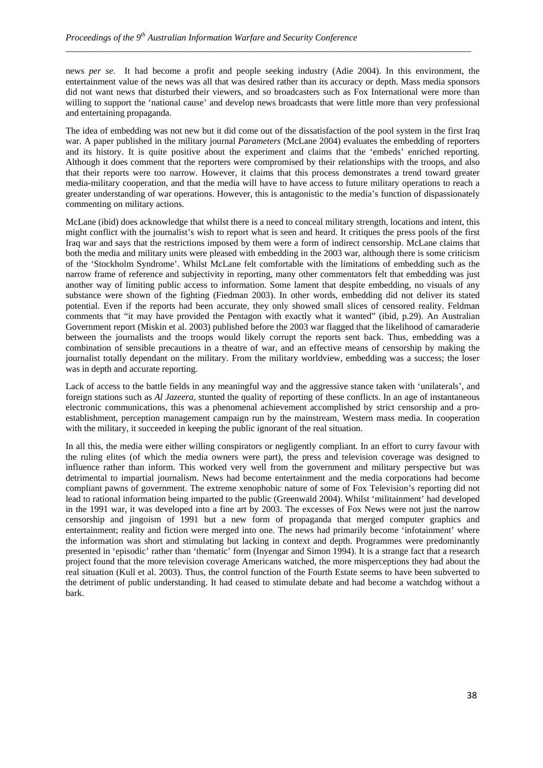news *per se*. It had become a profit and people seeking industry (Adie 2004). In this environment, the entertainment value of the news was all that was desired rather than its accuracy or depth. Mass media sponsors did not want news that disturbed their viewers, and so broadcasters such as Fox International were more than willing to support the 'national cause' and develop news broadcasts that were little more than very professional and entertaining propaganda.

*\_\_\_\_\_\_\_\_\_\_\_\_\_\_\_\_\_\_\_\_\_\_\_\_\_\_\_\_\_\_\_\_\_\_\_\_\_\_\_\_\_\_\_\_\_\_\_\_\_\_\_\_\_\_\_\_\_\_\_\_\_\_\_\_\_\_\_\_\_\_\_\_\_\_\_\_\_\_\_\_\_\_\_\_\_\_\_\_\_*

The idea of embedding was not new but it did come out of the dissatisfaction of the pool system in the first Iraq war. A paper published in the military journal *Parameters* (McLane 2004) evaluates the embedding of reporters and its history. It is quite positive about the experiment and claims that the 'embeds' enriched reporting. Although it does comment that the reporters were compromised by their relationships with the troops, and also that their reports were too narrow. However, it claims that this process demonstrates a trend toward greater media-military cooperation, and that the media will have to have access to future military operations to reach a greater understanding of war operations. However, this is antagonistic to the media's function of dispassionately commenting on military actions.

McLane (ibid) does acknowledge that whilst there is a need to conceal military strength, locations and intent, this might conflict with the journalist's wish to report what is seen and heard. It critiques the press pools of the first Iraq war and says that the restrictions imposed by them were a form of indirect censorship. McLane claims that both the media and military units were pleased with embedding in the 2003 war, although there is some criticism of the 'Stockholm Syndrome'. Whilst McLane felt comfortable with the limitations of embedding such as the narrow frame of reference and subjectivity in reporting, many other commentators felt that embedding was just another way of limiting public access to information. Some lament that despite embedding, no visuals of any substance were shown of the fighting (Fiedman 2003). In other words, embedding did not deliver its stated potential. Even if the reports had been accurate, they only showed small slices of censored reality. Feldman comments that "it may have provided the Pentagon with exactly what it wanted" (ibid, p.29). An Australian Government report (Miskin et al. 2003) published before the 2003 war flagged that the likelihood of camaraderie between the journalists and the troops would likely corrupt the reports sent back. Thus, embedding was a combination of sensible precautions in a theatre of war, and an effective means of censorship by making the journalist totally dependant on the military. From the military worldview, embedding was a success; the loser was in depth and accurate reporting.

Lack of access to the battle fields in any meaningful way and the aggressive stance taken with 'unilaterals', and foreign stations such as *Al Jazeera*, stunted the quality of reporting of these conflicts. In an age of instantaneous electronic communications, this was a phenomenal achievement accomplished by strict censorship and a proestablishment, perception management campaign run by the mainstream, Western mass media. In cooperation with the military, it succeeded in keeping the public ignorant of the real situation.

In all this, the media were either willing conspirators or negligently compliant. In an effort to curry favour with the ruling elites (of which the media owners were part), the press and television coverage was designed to influence rather than inform. This worked very well from the government and military perspective but was detrimental to impartial journalism. News had become entertainment and the media corporations had become compliant pawns of government. The extreme xenophobic nature of some of Fox Television's reporting did not lead to rational information being imparted to the public (Greenwald 2004). Whilst 'militainment' had developed in the 1991 war, it was developed into a fine art by 2003. The excesses of Fox News were not just the narrow censorship and jingoism of 1991 but a new form of propaganda that merged computer graphics and entertainment; reality and fiction were merged into one. The news had primarily become 'infotainment' where the information was short and stimulating but lacking in context and depth. Programmes were predominantly presented in 'episodic' rather than 'thematic' form (Inyengar and Simon 1994). It is a strange fact that a research project found that the more television coverage Americans watched, the more misperceptions they had about the real situation (Kull et al. 2003). Thus, the control function of the Fourth Estate seems to have been subverted to the detriment of public understanding. It had ceased to stimulate debate and had become a watchdog without a bark.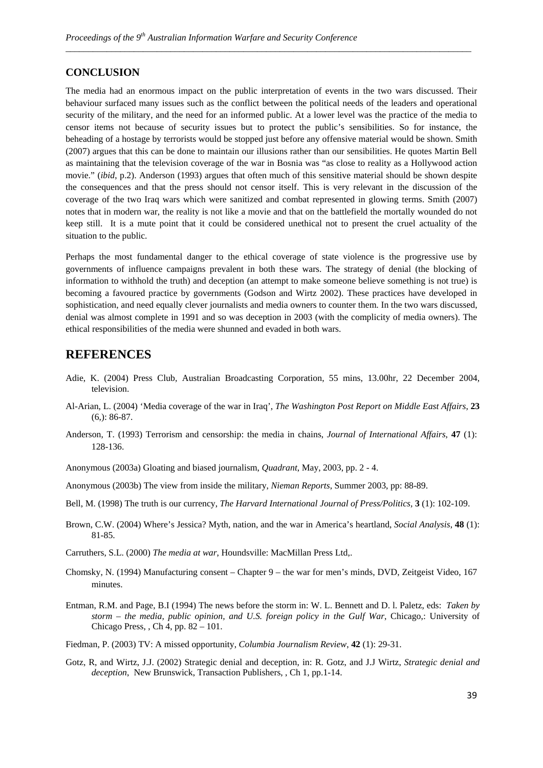## **CONCLUSION**

The media had an enormous impact on the public interpretation of events in the two wars discussed. Their behaviour surfaced many issues such as the conflict between the political needs of the leaders and operational security of the military, and the need for an informed public. At a lower level was the practice of the media to censor items not because of security issues but to protect the public's sensibilities. So for instance, the beheading of a hostage by terrorists would be stopped just before any offensive material would be shown. Smith (2007) argues that this can be done to maintain our illusions rather than our sensibilities. He quotes Martin Bell as maintaining that the television coverage of the war in Bosnia was "as close to reality as a Hollywood action movie." (*ibid*, p.2). Anderson (1993) argues that often much of this sensitive material should be shown despite the consequences and that the press should not censor itself. This is very relevant in the discussion of the coverage of the two Iraq wars which were sanitized and combat represented in glowing terms. Smith (2007) notes that in modern war, the reality is not like a movie and that on the battlefield the mortally wounded do not keep still. It is a mute point that it could be considered unethical not to present the cruel actuality of the situation to the public.

*\_\_\_\_\_\_\_\_\_\_\_\_\_\_\_\_\_\_\_\_\_\_\_\_\_\_\_\_\_\_\_\_\_\_\_\_\_\_\_\_\_\_\_\_\_\_\_\_\_\_\_\_\_\_\_\_\_\_\_\_\_\_\_\_\_\_\_\_\_\_\_\_\_\_\_\_\_\_\_\_\_\_\_\_\_\_\_\_\_*

Perhaps the most fundamental danger to the ethical coverage of state violence is the progressive use by governments of influence campaigns prevalent in both these wars. The strategy of denial (the blocking of information to withhold the truth) and deception (an attempt to make someone believe something is not true) is becoming a favoured practice by governments (Godson and Wirtz 2002). These practices have developed in sophistication, and need equally clever journalists and media owners to counter them. In the two wars discussed, denial was almost complete in 1991 and so was deception in 2003 (with the complicity of media owners). The ethical responsibilities of the media were shunned and evaded in both wars.

# **REFERENCES**

- Adie, K. (2004) Press Club*,* Australian Broadcasting Corporation, 55 mins, 13.00hr, 22 December 2004, television.
- Al-Arian, L. (2004) 'Media coverage of the war in Iraq', *The Washington Post Report on Middle East Affairs*, **23** (6,): 86-87.
- Anderson, T. (1993) Terrorism and censorship: the media in chains, *Journal of International Affairs*, **47** (1): 128-136.
- Anonymous (2003a) Gloating and biased journalism, *Quadrant*, May, 2003, pp. 2 4.
- Anonymous (2003b) The view from inside the military, *Nieman Reports*, Summer 2003, pp: 88-89.
- Bell, M. (1998) The truth is our currency, *The Harvard International Journal of Press/Politics,* **3** (1): 102-109.
- Brown, C.W. (2004) Where's Jessica? Myth, nation, and the war in America's heartland, *Social Analysis*, **48** (1): 81-85.
- Carruthers, S.L. (2000) *The media at war*, Houndsville: MacMillan Press Ltd,.
- Chomsky, N. (1994) Manufacturing consent Chapter 9 the war for men's minds, DVD, Zeitgeist Video, 167 minutes.
- Entman, R.M. and Page, B.I (1994) The news before the storm in: W. L. Bennett and D. l. Paletz, eds: *Taken by storm – the media, public opinion, and U.S. foreign policy in the Gulf War*, Chicago,: University of Chicago Press, , Ch 4, pp. 82 – 101.
- Fiedman, P. (2003) TV: A missed opportunity, *Columbia Journalism Review*, **42** (1): 29-31.
- Gotz, R, and Wirtz, J.J. (2002) Strategic denial and deception, in: R. Gotz, and J.J Wirtz, *Strategic denial and deception*, New Brunswick, Transaction Publishers, , Ch 1, pp.1-14.